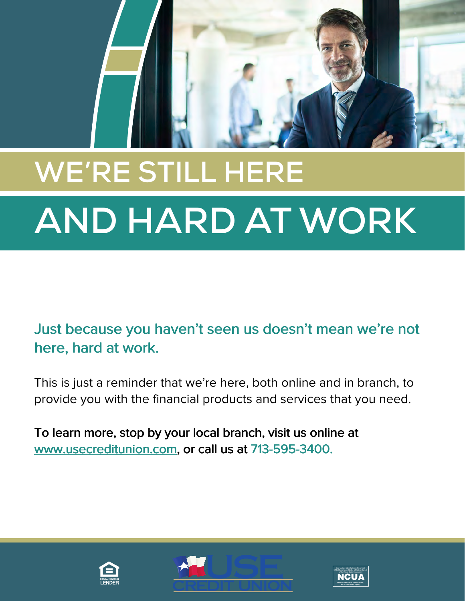

## **WE'RE STILL HERE AND HARD AT WORK**

Just because you haven't seen us doesn't mean we're not here, hard at work. here, hard at work.

This is just a reminder that we're here, both online and in branch, to provide you with the financial products and services that you need.

To learn more, stop by your local branch, visit us online at To more, stop by your local branch, visit us online at [www.usecreditunion.com,](www.usecreditunion.com) or call us at 713-595-3400. www.usecreditunion.com, or call us at 713-595-3400.





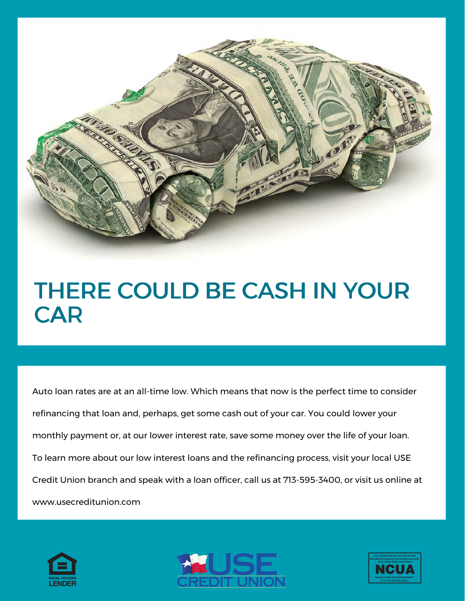

## THERE COULD BE CASH IN YOUR THERE COULD BE CASH IN YOUR CAR CAR

Auto loan rates are at an all-time low. Which means that now is the perfect time to consider refinancing that loan and, perhaps, get some cash out of your car. You could lower your monthly payment or, at our lower interest rate, save some money over the life of your loan. To learn more about our low interest loans and the refinancing process, visit your local USE Credit Union branch and speak with a loan officer, call us at 713-595-3400, or visit us online at <www.usecreditunion.com>